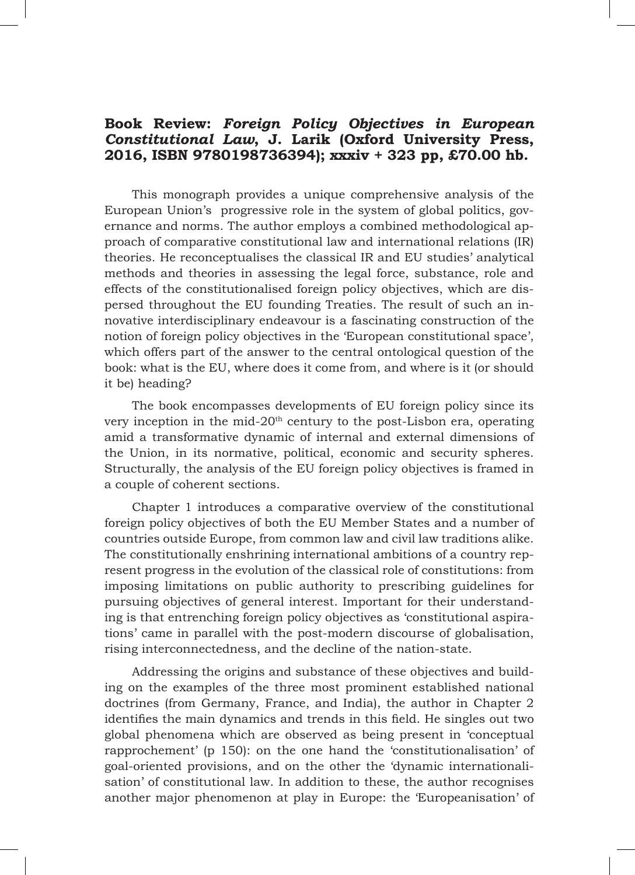## **Book Review:** *Foreign Policy Objectives in European Constitutional Law***, J. Larik (Oxford University Press, 2016, ISBN 9780198736394); xxxiv + 323 pp, £70.00 hb.**

This monograph provides a unique comprehensive analysis of the European Union's progressive role in the system of global politics, governance and norms. The author employs a combined methodological approach of comparative constitutional law and international relations (IR) theories. He reconceptualises the classical IR and EU studies' analytical methods and theories in assessing the legal force, substance, role and effects of the constitutionalised foreign policy objectives, which are dispersed throughout the EU founding Treaties. The result of such an innovative interdisciplinary endeavour is a fascinating construction of the notion of foreign policy objectives in the 'European constitutional space', which offers part of the answer to the central ontological question of the book: what is the EU, where does it come from, and where is it (or should it be) heading?

The book encompasses developments of EU foreign policy since its very inception in the mid- $20<sup>th</sup>$  century to the post-Lisbon era, operating amid a transformative dynamic of internal and external dimensions of the Union, in its normative, political, economic and security spheres. Structurally, the analysis of the EU foreign policy objectives is framed in a couple of coherent sections.

Chapter 1 introduces a comparative overview of the constitutional foreign policy objectives of both the EU Member States and a number of countries outside Europe, from common law and civil law traditions alike. The constitutionally enshrining international ambitions of a country represent progress in the evolution of the classical role of constitutions: from imposing limitations on public authority to prescribing guidelines for pursuing objectives of general interest. Important for their understanding is that entrenching foreign policy objectives as 'constitutional aspirations' came in parallel with the post-modern discourse of globalisation, rising interconnectedness, and the decline of the nation-state.

Addressing the origins and substance of these objectives and building on the examples of the three most prominent established national doctrines (from Germany, France, and India), the author in Chapter 2 identifies the main dynamics and trends in this field. He singles out two global phenomena which are observed as being present in 'conceptual rapprochement' (p 150): on the one hand the 'constitutionalisation' of goal-oriented provisions, and on the other the 'dynamic internationalisation' of constitutional law. In addition to these, the author recognises another major phenomenon at play in Europe: the 'Europeanisation' of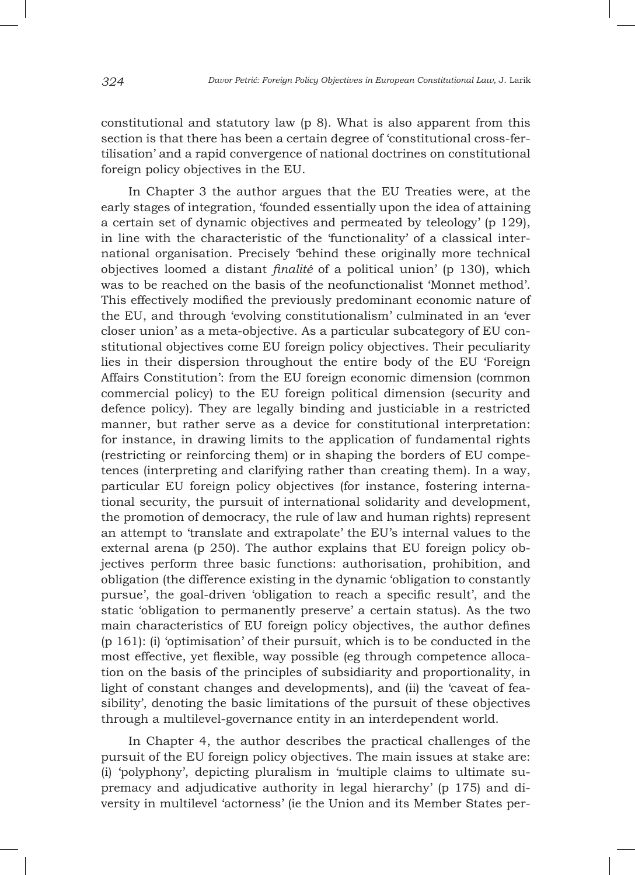constitutional and statutory law (p 8). What is also apparent from this section is that there has been a certain degree of 'constitutional cross-fertilisation' and a rapid convergence of national doctrines on constitutional foreign policy objectives in the EU.

In Chapter 3 the author argues that the EU Treaties were, at the early stages of integration, 'founded essentially upon the idea of attaining a certain set of dynamic objectives and permeated by teleology' (p 129), in line with the characteristic of the 'functionality' of a classical international organisation. Precisely 'behind these originally more technical objectives loomed a distant *finalité* of a political union' (p 130), which was to be reached on the basis of the neofunctionalist 'Monnet method'. This effectively modified the previously predominant economic nature of the EU, and through 'evolving constitutionalism' culminated in an 'ever closer union' as a meta-objective. As a particular subcategory of EU constitutional objectives come EU foreign policy objectives. Their peculiarity lies in their dispersion throughout the entire body of the EU 'Foreign Affairs Constitution': from the EU foreign economic dimension (common commercial policy) to the EU foreign political dimension (security and defence policy). They are legally binding and justiciable in a restricted manner, but rather serve as a device for constitutional interpretation: for instance, in drawing limits to the application of fundamental rights (restricting or reinforcing them) or in shaping the borders of EU competences (interpreting and clarifying rather than creating them). In a way, particular EU foreign policy objectives (for instance, fostering international security, the pursuit of international solidarity and development, the promotion of democracy, the rule of law and human rights) represent an attempt to 'translate and extrapolate' the EU's internal values to the external arena (p 250). The author explains that EU foreign policy objectives perform three basic functions: authorisation, prohibition, and obligation (the difference existing in the dynamic 'obligation to constantly pursue', the goal-driven 'obligation to reach a specific result', and the static 'obligation to permanently preserve' a certain status). As the two main characteristics of EU foreign policy objectives, the author defines (p 161): (i) 'optimisation' of their pursuit, which is to be conducted in the most effective, yet flexible, way possible (eg through competence allocation on the basis of the principles of subsidiarity and proportionality, in light of constant changes and developments), and (ii) the 'caveat of feasibility', denoting the basic limitations of the pursuit of these objectives through a multilevel-governance entity in an interdependent world.

In Chapter 4, the author describes the practical challenges of the pursuit of the EU foreign policy objectives. The main issues at stake are: (i) 'polyphony', depicting pluralism in 'multiple claims to ultimate supremacy and adjudicative authority in legal hierarchy' (p 175) and diversity in multilevel 'actorness' (ie the Union and its Member States per-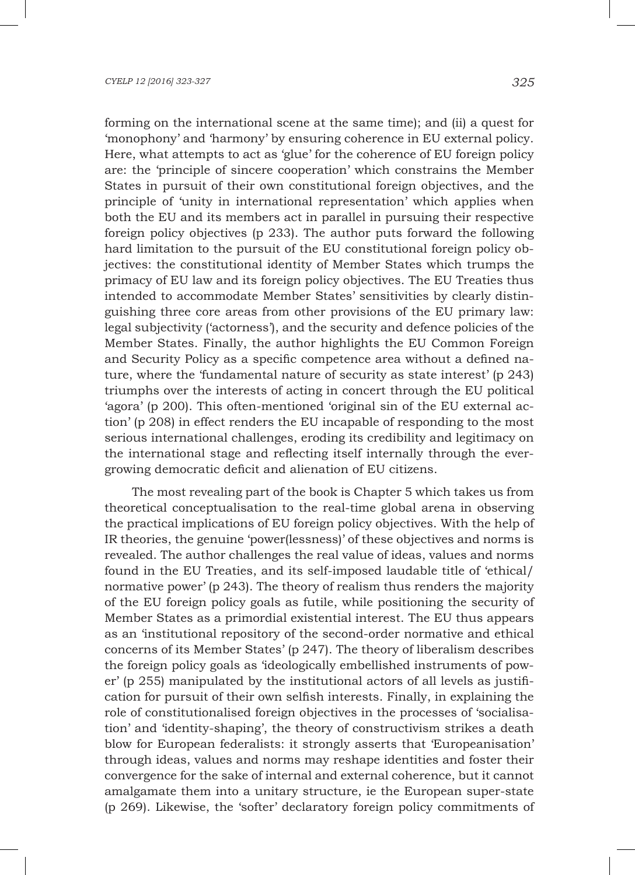forming on the international scene at the same time); and (ii) a quest for 'monophony' and 'harmony' by ensuring coherence in EU external policy. Here, what attempts to act as 'glue' for the coherence of EU foreign policy are: the 'principle of sincere cooperation' which constrains the Member States in pursuit of their own constitutional foreign objectives, and the principle of 'unity in international representation' which applies when both the EU and its members act in parallel in pursuing their respective foreign policy objectives (p 233). The author puts forward the following hard limitation to the pursuit of the EU constitutional foreign policy objectives: the constitutional identity of Member States which trumps the primacy of EU law and its foreign policy objectives. The EU Treaties thus intended to accommodate Member States' sensitivities by clearly distinguishing three core areas from other provisions of the EU primary law: legal subjectivity ('actorness'), and the security and defence policies of the Member States. Finally, the author highlights the EU Common Foreign and Security Policy as a specific competence area without a defined nature, where the 'fundamental nature of security as state interest' (p 243) triumphs over the interests of acting in concert through the EU political 'agora' (p 200). This often-mentioned 'original sin of the EU external action' (p 208) in effect renders the EU incapable of responding to the most serious international challenges, eroding its credibility and legitimacy on the international stage and reflecting itself internally through the evergrowing democratic deficit and alienation of EU citizens.

The most revealing part of the book is Chapter 5 which takes us from theoretical conceptualisation to the real-time global arena in observing the practical implications of EU foreign policy objectives. With the help of IR theories, the genuine 'power(lessness)' of these objectives and norms is revealed. The author challenges the real value of ideas, values and norms found in the EU Treaties, and its self-imposed laudable title of 'ethical/ normative power' (p 243). The theory of realism thus renders the majority of the EU foreign policy goals as futile, while positioning the security of Member States as a primordial existential interest. The EU thus appears as an 'institutional repository of the second-order normative and ethical concerns of its Member States' (p 247). The theory of liberalism describes the foreign policy goals as 'ideologically embellished instruments of power' (p 255) manipulated by the institutional actors of all levels as justification for pursuit of their own selfish interests. Finally, in explaining the role of constitutionalised foreign objectives in the processes of 'socialisation' and 'identity-shaping', the theory of constructivism strikes a death blow for European federalists: it strongly asserts that 'Europeanisation' through ideas, values and norms may reshape identities and foster their convergence for the sake of internal and external coherence, but it cannot amalgamate them into a unitary structure, ie the European super-state (p 269). Likewise, the 'softer' declaratory foreign policy commitments of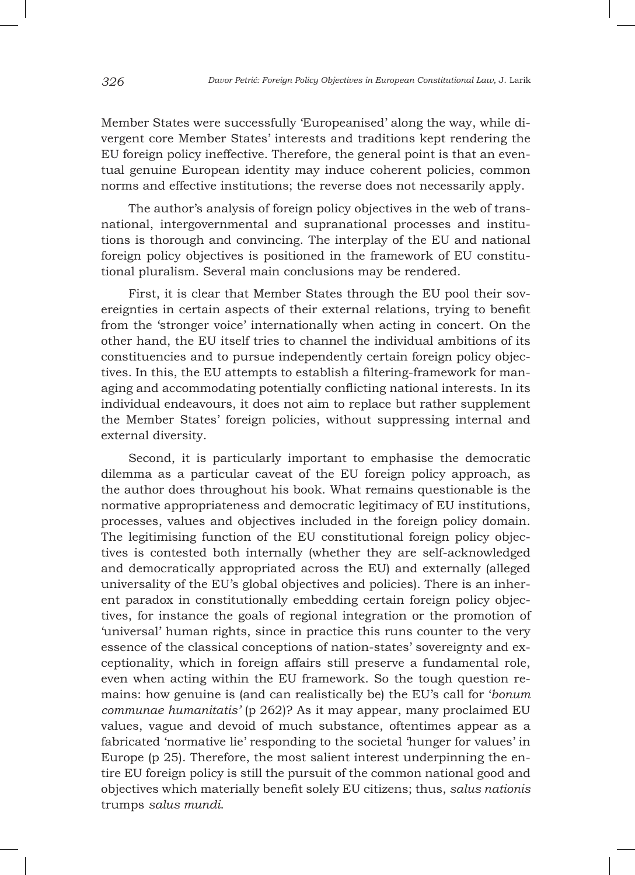Member States were successfully 'Europeanised' along the way, while divergent core Member States' interests and traditions kept rendering the EU foreign policy ineffective. Therefore, the general point is that an eventual genuine European identity may induce coherent policies, common norms and effective institutions; the reverse does not necessarily apply.

The author's analysis of foreign policy objectives in the web of transnational, intergovernmental and supranational processes and institutions is thorough and convincing. The interplay of the EU and national foreign policy objectives is positioned in the framework of EU constitutional pluralism. Several main conclusions may be rendered.

First, it is clear that Member States through the EU pool their sovereignties in certain aspects of their external relations, trying to benefit from the 'stronger voice' internationally when acting in concert. On the other hand, the EU itself tries to channel the individual ambitions of its constituencies and to pursue independently certain foreign policy objectives. In this, the EU attempts to establish a filtering-framework for managing and accommodating potentially conflicting national interests. In its individual endeavours, it does not aim to replace but rather supplement the Member States' foreign policies, without suppressing internal and external diversity.

Second, it is particularly important to emphasise the democratic dilemma as a particular caveat of the EU foreign policy approach, as the author does throughout his book. What remains questionable is the normative appropriateness and democratic legitimacy of EU institutions, processes, values and objectives included in the foreign policy domain. The legitimising function of the EU constitutional foreign policy objectives is contested both internally (whether they are self-acknowledged and democratically appropriated across the EU) and externally (alleged universality of the EU's global objectives and policies). There is an inherent paradox in constitutionally embedding certain foreign policy objectives, for instance the goals of regional integration or the promotion of 'universal' human rights, since in practice this runs counter to the very essence of the classical conceptions of nation-states' sovereignty and exceptionality, which in foreign affairs still preserve a fundamental role, even when acting within the EU framework. So the tough question remains: how genuine is (and can realistically be) the EU's call for '*bonum communae humanitatis'* (p 262)? As it may appear, many proclaimed EU values, vague and devoid of much substance, oftentimes appear as a fabricated 'normative lie' responding to the societal 'hunger for values' in Europe (p 25). Therefore, the most salient interest underpinning the entire EU foreign policy is still the pursuit of the common national good and objectives which materially benefit solely EU citizens; thus, *salus nationis* trumps *salus mundi*.